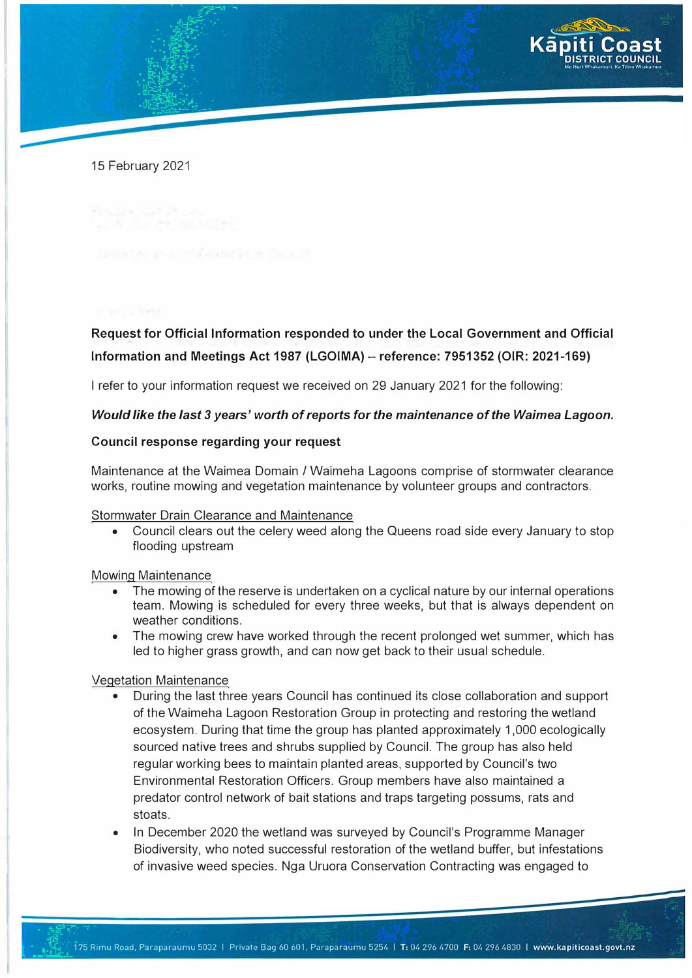

15 February 2021

# **Request for Official Information responded to under the Local Government and Official Information and Meetings Act 1987 (LGOIMA)- reference: 7951352 (OIR: 2021-169)**

I refer to your information request we received on 29 January 2021 for the following:

## *Would like the last 3 years' worth of reports for the maintenance of the Waimea Lagoon.*

## **Council response regarding your request**

Maintenance at the Waimea Domain / Waimeha Lagoons comprise of stormwater clearance works, routine mowing and vegetation maintenance by volunteer groups and contractors.

#### Stormwater Drain Clearance and Maintenance

• Council clears out the celery weed along the Queens road side every January to stop flooding upstream

#### Mowing Maintenance

- The mowing of the reserve is undertaken on a cyclical nature by our internal operations team. Mowing is scheduled for every three weeks, but that is always dependent on weather conditions.
- The mowing crew have worked through the recent prolonged wet summer, which has led to higher grass growth, and can now get back to their usual schedule.

### Vegetation Maintenance

- During the last three years Council has continued its close collaboration and support of the Waimeha Lagoon Restoration Group in protecting and restoring the wetland ecosystem. During that time the group has planted approximately 1,000 ecologically sourced native trees and shrubs supplied by Council. The group has also held regular working bees to maintain planted areas, supported by Council's two Environmental Restoration Officers. Group members have also maintained a predator control network of bait stations and traps targeting possums, rats and stoats.
- In December 2020 the wetland was surveyed by Council's Programme Manager Biodiversity, who noted successful restoration of the wetland buffer, but infestations of invasive weed species. Nga Uruora Conservation Contracting was engaged to